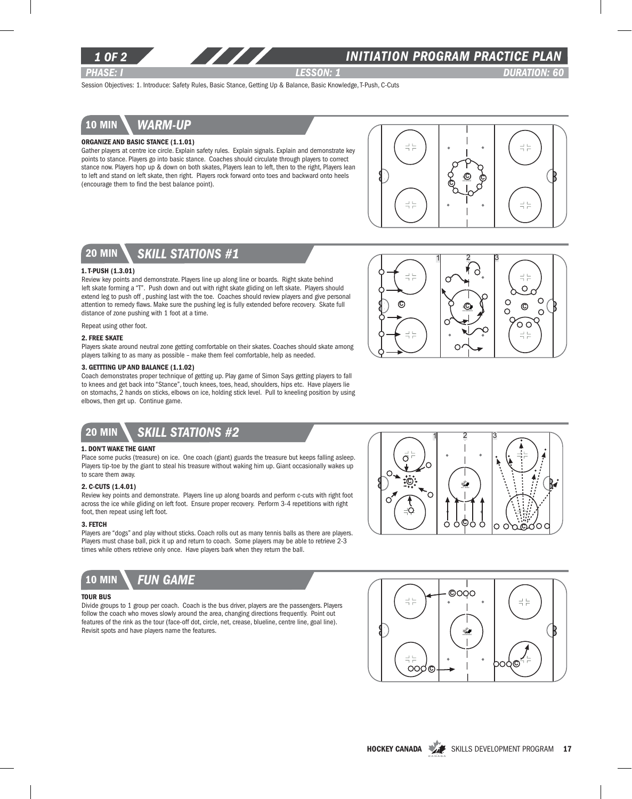

### *1 of 2 INITIATION program PRACTICE PLAN*

*PHASE: I lesson: 1 DURATION: 60* 

Session Objectives: 1. Introduce: Safety Rules, Basic Stance, Getting Up & Balance, Basic Knowledge, T-Push, C-Cuts

### 10 min *warm-up*

### Organize and Basic Stance (1.1.01)

Gather players at centre ice circle. Explain safety rules. Explain signals. Explain and demonstrate key points to stance. Players go into basic stance. Coaches should circulate through players to correct stance now. Players hop up & down on both skates, Players lean to left, then to the right, Players lean to left and stand on left skate, then right. Players rock forward onto toes and backward onto heels (encourage them to find the best balance point).





#### 1. T-push (1.3.01)

Review key points and demonstrate. Players line up along line or boards. Right skate behind left skate forming a "T". Push down and out with right skate gliding on left skate. Players should extend leg to push off , pushing last with the toe. Coaches should review players and give personal attention to remedy flaws. Make sure the pushing leg is fully extended before recovery. Skate full distance of zone pushing with 1 foot at a time.

Repeat using other foot.

#### 2. Free skate

Players skate around neutral zone getting comfortable on their skates. Coaches should skate among players talking to as many as possible – make them feel comfortable, help as needed.

#### 3. Gettting Up and Balance (1.1.02)

Coach demonstrates proper technique of getting up. Play game of Simon Says getting players to fall to knees and get back into "Stance", touch knees, toes, head, shoulders, hips etc. Have players lie on stomachs, 2 hands on sticks, elbows on ice, holding stick level. Pull to kneeling position by using elbows, then get up. Continue game.



#### 1. Don't Wake the Giant

Place some pucks (treasure) on ice. One coach (giant) guards the treasure but keeps falling asleep. Players tip-toe by the giant to steal his treasure without waking him up. Giant occasionally wakes up to scare them away.

#### 2. C-Cuts (1.4.01)

Review key points and demonstrate. Players line up along boards and perform c-cuts with right foot across the ice while gliding on left foot. Ensure proper recovery. Perform 3-4 repetitions with right foot, then repeat using left foot.

#### 3. Fetch

Players are "dogs" and play without sticks. Coach rolls out as many tennis balls as there are players. Players must chase ball, pick it up and return to coach. Some players may be able to retrieve 2-3 times while others retrieve only once. Have players bark when they return the ball.



#### Tour Bus

Divide groups to 1 group per coach. Coach is the bus driver, players are the passengers. Players follow the coach who moves slowly around the area, changing directions frequently. Point out features of the rink as the tour (face-off dot, circle, net, crease, blueline, centre line, goal line). Revisit spots and have players name the features.